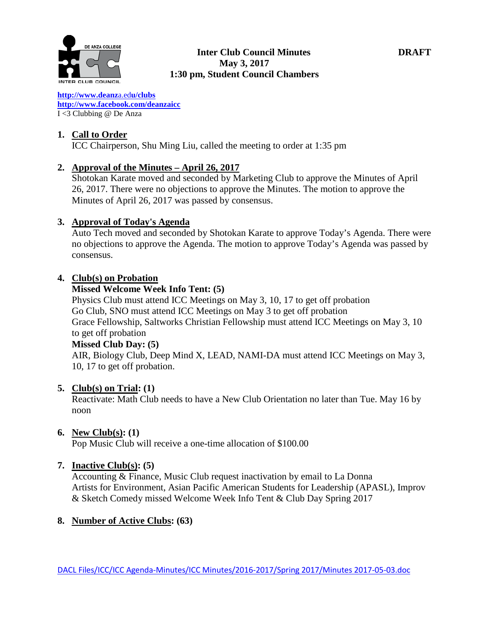

### **Inter Club Council Minutes DRAFT May 3, 2017 1:30 pm, Student Council Chambers**

**[http://www.deanz](http://www.deanza.edu/clubs)**[a.ed](http://www.deanza.edu/clubs)**[u/clubs](http://www.deanza.edu/clubs) [http://www.facebook.com/deanzaicc](http://www.facebook.com/home.php#!/group.php?gid=59034552686)** I <3 Clubbing @ De Anza

### **1. Call to Order**

ICC Chairperson, Shu Ming Liu, called the meeting to order at 1:35 pm

### **2. Approval of the Minutes – April 26, 2017**

Shotokan Karate moved and seconded by Marketing Club to approve the Minutes of April 26, 2017. There were no objections to approve the Minutes. The motion to approve the Minutes of April 26, 2017 was passed by consensus.

### **3. Approval of Today's Agenda**

Auto Tech moved and seconded by Shotokan Karate to approve Today's Agenda. There were no objections to approve the Agenda. The motion to approve Today's Agenda was passed by consensus.

### **4. Club(s) on Probation**

#### **Missed Welcome Week Info Tent: (5)**

Physics Club must attend ICC Meetings on May 3, 10, 17 to get off probation Go Club, SNO must attend ICC Meetings on May 3 to get off probation Grace Fellowship, Saltworks Christian Fellowship must attend ICC Meetings on May 3, 10 to get off probation

### **Missed Club Day: (5)**

AIR, Biology Club, Deep Mind X, LEAD, NAMI-DA must attend ICC Meetings on May 3, 10, 17 to get off probation.

### **5. Club(s) on Trial: (1)**

Reactivate: Math Club needs to have a New Club Orientation no later than Tue. May 16 by noon

### **6. New Club(s): (1)**

Pop Music Club will receive a one-time allocation of \$100.00

### **7. Inactive Club(s): (5)**

Accounting & Finance, Music Club request inactivation by email to La Donna Artists for Environment, Asian Pacific American Students for Leadership (APASL), Improv & Sketch Comedy missed Welcome Week Info Tent & Club Day Spring 2017

### **8. Number of Active Clubs: (63)**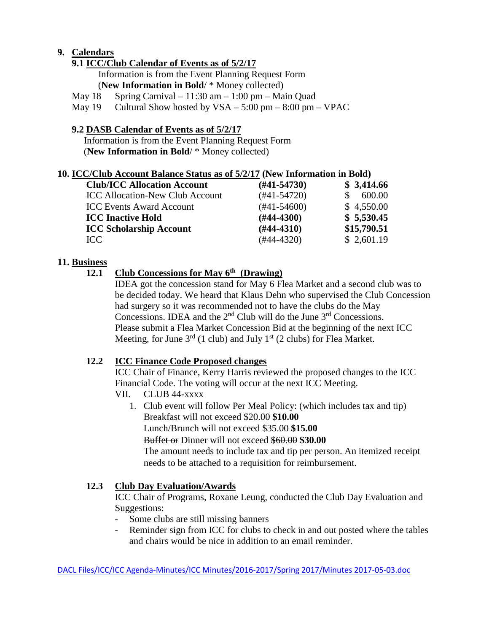# **9. Calendars**

## **9.1 ICC/Club Calendar of Events as of 5/2/17**

 Information is from the Event Planning Request Form (**New Information in Bold**/ \* Money collected)

May  $18$  Spring Carnival –  $11:30$  am –  $1:00$  pm – Main Quad

May  $19$  Cultural Show hosted by  $VSA - 5:00 \text{ pm} - 8:00 \text{ pm} - \text{VPAC}$ 

# **9.2 DASB Calendar of Events as of 5/2/17**

Information is from the Event Planning Request Form (**New Information in Bold**/ \* Money collected)

### **10. ICC/Club Account Balance Status as of 5/2/17 (New Information in Bold)**

| <b>Club/ICC Allocation Account</b>     | $(H41-54730)$ | \$3,414.66  |
|----------------------------------------|---------------|-------------|
| <b>ICC Allocation-New Club Account</b> | $(#41-54720)$ | 600.00      |
| <b>ICC Events Award Account</b>        | $(#41-54600)$ | \$4,550.00  |
| <b>ICC Inactive Hold</b>               | $(H44-4300)$  | \$5,530.45  |
| <b>ICC Scholarship Account</b>         | $(H44-4310)$  | \$15,790.51 |
| ICC                                    | $(#44-4320)$  | \$2,601.19  |

### **11. Business**

# **12.1 Club Concessions for May 6th (Drawing)**

IDEA got the concession stand for May 6 Flea Market and a second club was to be decided today. We heard that Klaus Dehn who supervised the Club Concession had surgery so it was recommended not to have the clubs do the May Concessions. IDEA and the  $2<sup>nd</sup>$  Club will do the June  $3<sup>rd</sup>$  Concessions. Please submit a Flea Market Concession Bid at the beginning of the next ICC Meeting, for June  $3<sup>rd</sup>$  (1 club) and July 1<sup>st</sup> (2 clubs) for Flea Market.

### **12.2 ICC Finance Code Proposed changes**

ICC Chair of Finance, Kerry Harris reviewed the proposed changes to the ICC Financial Code. The voting will occur at the next ICC Meeting.

- VII. CLUB 44-xxxx
	- 1. Club event will follow Per Meal Policy: (which includes tax and tip) Breakfast will not exceed \$20.00 **\$10.00** Lunch/Brunch will not exceed \$35.00 **\$15.00** Buffet or Dinner will not exceed \$60.00 **\$30.00** The amount needs to include tax and tip per person. An itemized receipt needs to be attached to a requisition for reimbursement.

# **12.3 Club Day Evaluation/Awards**

ICC Chair of Programs, Roxane Leung, conducted the Club Day Evaluation and Suggestions:

- Some clubs are still missing banners
- Reminder sign from ICC for clubs to check in and out posted where the tables and chairs would be nice in addition to an email reminder.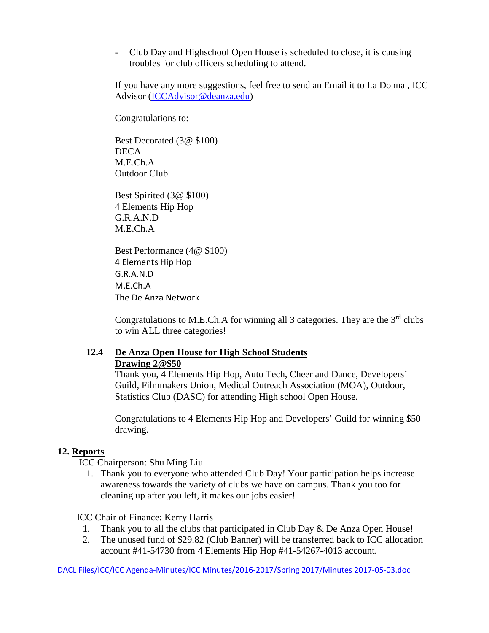- Club Day and Highschool Open House is scheduled to close, it is causing troubles for club officers scheduling to attend.

If you have any more suggestions, feel free to send an Email it to La Donna , ICC Advisor [\(ICCAdvisor@deanza.edu\)](mailto:ICCAdvisor@deanza.edu)

Congratulations to:

Best Decorated (3@ \$100) DECA M.E.Ch.A Outdoor Club

Best Spirited (3@ \$100) 4 Elements Hip Hop G.R.A.N.D M.E.Ch.A

Best Performance (4@ \$100) 4 Elements Hip Hop G.R.A.N.D M.E.Ch.A The De Anza Network

Congratulations to M.E.Ch.A for winning all 3 categories. They are the  $3<sup>rd</sup>$  clubs to win ALL three categories!

### **12.4 De Anza Open House for High School Students Drawing 2@\$50**

Thank you, 4 Elements Hip Hop, Auto Tech, Cheer and Dance, Developers' Guild, Filmmakers Union, Medical Outreach Association (MOA), Outdoor, Statistics Club (DASC) for attending High school Open House.

Congratulations to 4 Elements Hip Hop and Developers' Guild for winning \$50 drawing.

### **12. Reports**

ICC Chairperson: Shu Ming Liu

1. Thank you to everyone who attended Club Day! Your participation helps increase awareness towards the variety of clubs we have on campus. Thank you too for cleaning up after you left, it makes our jobs easier!

ICC Chair of Finance: Kerry Harris

- 1. Thank you to all the clubs that participated in Club Day & De Anza Open House!
- 2. The unused fund of \$29.82 (Club Banner) will be transferred back to ICC allocation account #41-54730 from 4 Elements Hip Hop #41-54267-4013 account.

DACL Files/ICC/ICC Agenda-Minutes/ICC Minutes/2016-2017/Spring 2017/Minutes 2017-05-03.doc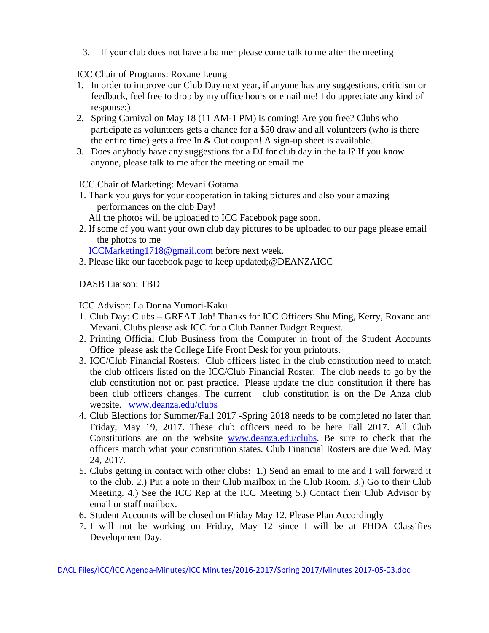3. If your club does not have a banner please come talk to me after the meeting

ICC Chair of Programs: Roxane Leung

- 1. In order to improve our Club Day next year, if anyone has any suggestions, criticism or feedback, feel free to drop by my office hours or email me! I do appreciate any kind of response:)
- 2. Spring Carnival on May 18 (11 AM-1 PM) is coming! Are you free? Clubs who participate as volunteers gets a chance for a \$50 draw and all volunteers (who is there the entire time) gets a free In & Out coupon! A sign-up sheet is available.
- 3. Does anybody have any suggestions for a DJ for club day in the fall? If you know anyone, please talk to me after the meeting or email me

ICC Chair of Marketing: Mevani Gotama

1. Thank you guys for your cooperation in taking pictures and also your amazing performances on the club Day!

All the photos will be uploaded to ICC Facebook page soon.

2. If some of you want your own club day pictures to be uploaded to our page please email the photos to me

[ICCMarketing1718@gmail.com](mailto:ICCMarketing1718@gmail.com) before next week.

3. Please like our facebook page to keep updated;@DEANZAICC

DASB Liaison: TBD

ICC Advisor: La Donna Yumori-Kaku

- 1. Club Day: Clubs GREAT Job! Thanks for ICC Officers Shu Ming, Kerry, Roxane and Mevani. Clubs please ask ICC for a Club Banner Budget Request.
- 2. Printing Official Club Business from the Computer in front of the Student Accounts Office please ask the College Life Front Desk for your printouts.
- 3. ICC/Club Financial Rosters: Club officers listed in the club constitution need to match the club officers listed on the ICC/Club Financial Roster. The club needs to go by the club constitution not on past practice. Please update the club constitution if there has been club officers changes. The current club constitution is on the De Anza club website. [www.deanza.edu/clubs](http://www.deanza.edu/clubs)
- 4. Club Elections for Summer/Fall 2017 -Spring 2018 needs to be completed no later than Friday, May 19, 2017. These club officers need to be here Fall 2017. All Club Constitutions are on the website [www.deanza.edu/clubs.](http://www.deanza.edu/clubs) Be sure to check that the officers match what your constitution states. Club Financial Rosters are due Wed. May 24, 2017.
- 5. Clubs getting in contact with other clubs: 1.) Send an email to me and I will forward it to the club. 2.) Put a note in their Club mailbox in the Club Room. 3.) Go to their Club Meeting. 4.) See the ICC Rep at the ICC Meeting 5.) Contact their Club Advisor by email or staff mailbox.
- 6. Student Accounts will be closed on Friday May 12. Please Plan Accordingly
- 7. I will not be working on Friday, May 12 since I will be at FHDA Classifies Development Day.

DACL Files/ICC/ICC Agenda-Minutes/ICC Minutes/2016-2017/Spring 2017/Minutes 2017-05-03.doc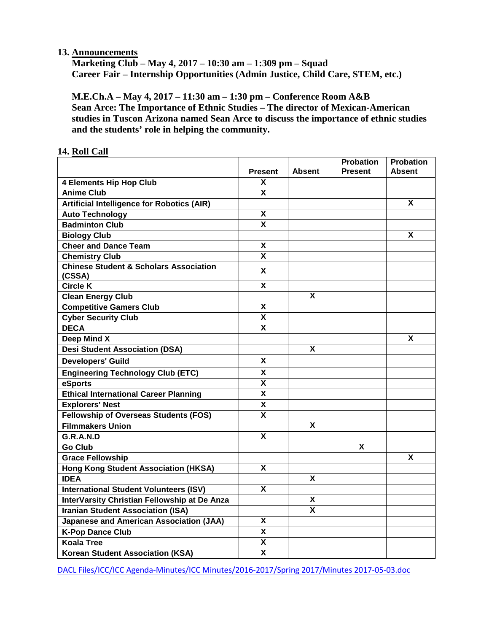### **13. Announcements**

**Marketing Club – May 4, 2017 – 10:30 am – 1:309 pm – Squad Career Fair – Internship Opportunities (Admin Justice, Child Care, STEM, etc.)**

**M.E.Ch.A – May 4, 2017 – 11:30 am – 1:30 pm – Conference Room A&B Sean Arce: The Importance of Ethnic Studies – The director of Mexican-American studies in Tuscon Arizona named Sean Arce to discuss the importance of ethnic studies and the students' role in helping the community.**

|                                                             | <b>Present</b>            | <b>Absent</b> | Probation<br><b>Present</b> | <b>Probation</b><br><b>Absent</b> |
|-------------------------------------------------------------|---------------------------|---------------|-----------------------------|-----------------------------------|
| <b>4 Elements Hip Hop Club</b>                              | X                         |               |                             |                                   |
| <b>Anime Club</b>                                           | $\overline{\mathbf{x}}$   |               |                             |                                   |
| <b>Artificial Intelligence for Robotics (AIR)</b>           |                           |               |                             | $\boldsymbol{\mathsf{X}}$         |
| <b>Auto Technology</b>                                      | X                         |               |                             |                                   |
| <b>Badminton Club</b>                                       | $\mathbf{x}$              |               |                             |                                   |
| <b>Biology Club</b>                                         |                           |               |                             | $\overline{\mathbf{x}}$           |
| <b>Cheer and Dance Team</b>                                 | $\boldsymbol{\mathsf{x}}$ |               |                             |                                   |
| <b>Chemistry Club</b>                                       | $\mathbf{x}$              |               |                             |                                   |
| <b>Chinese Student &amp; Scholars Association</b><br>(CSSA) | X                         |               |                             |                                   |
| <b>Circle K</b>                                             | $\boldsymbol{\mathsf{X}}$ |               |                             |                                   |
| <b>Clean Energy Club</b>                                    |                           | X             |                             |                                   |
| <b>Competitive Gamers Club</b>                              | $\mathbf{x}$              |               |                             |                                   |
| <b>Cyber Security Club</b>                                  | $\overline{\mathbf{X}}$   |               |                             |                                   |
| <b>DECA</b>                                                 | $\overline{\mathbf{X}}$   |               |                             |                                   |
| Deep Mind X                                                 |                           |               |                             | X                                 |
| <b>Desi Student Association (DSA)</b>                       |                           | X             |                             |                                   |
| <b>Developers' Guild</b>                                    | X                         |               |                             |                                   |
| <b>Engineering Technology Club (ETC)</b>                    | X                         |               |                             |                                   |
| eSports                                                     | $\boldsymbol{\mathsf{x}}$ |               |                             |                                   |
| <b>Ethical International Career Planning</b>                | $\overline{\mathbf{x}}$   |               |                             |                                   |
| <b>Explorers' Nest</b>                                      | $\pmb{\mathsf{X}}$        |               |                             |                                   |
| <b>Fellowship of Overseas Students (FOS)</b>                | $\boldsymbol{\mathsf{x}}$ |               |                             |                                   |
| <b>Filmmakers Union</b>                                     |                           | X             |                             |                                   |
| G.R.A.N.D                                                   | $\mathbf{x}$              |               |                             |                                   |
| <b>Go Club</b>                                              |                           |               | X                           |                                   |
| <b>Grace Fellowship</b>                                     |                           |               |                             | X                                 |
| <b>Hong Kong Student Association (HKSA)</b>                 | $\mathsf{x}$              |               |                             |                                   |
| <b>IDEA</b>                                                 |                           | X             |                             |                                   |
| <b>International Student Volunteers (ISV)</b>               | X                         |               |                             |                                   |
| InterVarsity Christian Fellowship at De Anza                |                           | X             |                             |                                   |
| <b>Iranian Student Association (ISA)</b>                    |                           | X             |                             |                                   |
| <b>Japanese and American Association (JAA)</b>              | X                         |               |                             |                                   |
| <b>K-Pop Dance Club</b>                                     | $\mathbf{x}$              |               |                             |                                   |
| <b>Koala Tree</b>                                           | X                         |               |                             |                                   |
| <b>Korean Student Association (KSA)</b>                     | $\boldsymbol{\mathsf{X}}$ |               |                             |                                   |

#### **14. Roll Call**

DACL Files/ICC/ICC Agenda-Minutes/ICC Minutes/2016-2017/Spring 2017/Minutes 2017-05-03.doc